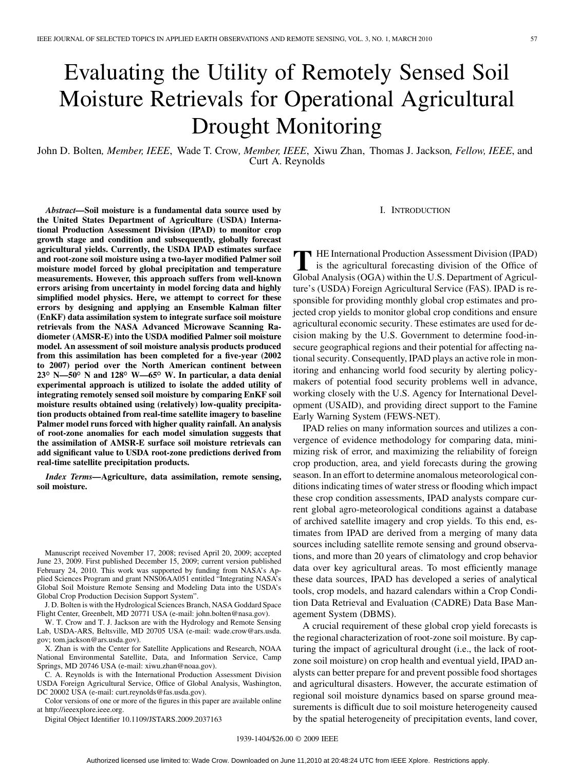# Evaluating the Utility of Remotely Sensed Soil Moisture Retrievals for Operational Agricultural Drought Monitoring

John D. Bolten*, Member, IEEE*, Wade T. Crow*, Member, IEEE*, Xiwu Zhan, Thomas J. Jackson*, Fellow, IEEE*, and Curt A. Reynolds

*Abstract—***Soil moisture is a fundamental data source used by the United States Department of Agriculture (USDA) International Production Assessment Division (IPAD) to monitor crop growth stage and condition and subsequently, globally forecast agricultural yields. Currently, the USDA IPAD estimates surface and root-zone soil moisture using a two-layer modified Palmer soil moisture model forced by global precipitation and temperature measurements. However, this approach suffers from well-known errors arising from uncertainty in model forcing data and highly simplified model physics. Here, we attempt to correct for these errors by designing and applying an Ensemble Kalman filter (EnKF) data assimilation system to integrate surface soil moisture retrievals from the NASA Advanced Microwave Scanning Radiometer (AMSR-E) into the USDA modified Palmer soil moisture model. An assessment of soil moisture analysis products produced from this assimilation has been completed for a five-year (2002 to 2007) period over the North American continent between 23 N—50 N and 128 W—65 W. In particular, a data denial experimental approach is utilized to isolate the added utility of integrating remotely sensed soil moisture by comparing EnKF soil moisture results obtained using (relatively) low-quality precipitation products obtained from real-time satellite imagery to baseline Palmer model runs forced with higher quality rainfall. An analysis of root-zone anomalies for each model simulation suggests that the assimilation of AMSR-E surface soil moisture retrievals can add significant value to USDA root-zone predictions derived from real-time satellite precipitation products.**

*Index Terms—***Agriculture, data assimilation, remote sensing, soil moisture.**

Manuscript received November 17, 2008; revised April 20, 2009; accepted June 23, 2009. First published December 15, 2009; current version published February 24, 2010. This work was supported by funding from NASA's Applied Sciences Program and grant NNS06AA051 entitled "Integrating NASA's Global Soil Moisture Remote Sensing and Modeling Data into the USDA's Global Crop Production Decision Support System".

J. D. Bolten is with the Hydrological Sciences Branch, NASA Goddard Space Flight Center, Greenbelt, MD 20771 USA (e-mail: john.bolten@nasa.gov).

W. T. Crow and T. J. Jackson are with the Hydrology and Remote Sensing Lab, USDA-ARS, Beltsville, MD 20705 USA (e-mail: wade.crow@ars.usda. gov; tom.jackson@ars.usda.gov).

X. Zhan is with the Center for Satellite Applications and Research, NOAA National Environmental Satellite, Data, and Information Service, Camp Springs, MD 20746 USA (e-mail: xiwu.zhan@noaa.gov).

C. A. Reynolds is with the International Production Assessment Division USDA Foreign Agricultural Service, Office of Global Analysis, Washington, DC 20002 USA (e-mail: curt.reynolds@fas.usda.gov).

Color versions of one or more of the figures in this paper are available online at http://ieeexplore.ieee.org.

#### I. INTRODUCTION

**T** HE International Production Assessment Division (IPAD)<br>is the agricultural forecasting division of the Office of<br>Global Analysis (OGA) within the U.S. Department of Agricul Global Analysis (OGA) within the U.S. Department of Agriculture's (USDA) Foreign Agricultural Service (FAS). IPAD is responsible for providing monthly global crop estimates and projected crop yields to monitor global crop conditions and ensure agricultural economic security. These estimates are used for decision making by the U.S. Government to determine food-insecure geographical regions and their potential for affecting national security. Consequently, IPAD plays an active role in monitoring and enhancing world food security by alerting policymakers of potential food security problems well in advance, working closely with the U.S. Agency for International Development (USAID), and providing direct support to the Famine Early Warning System (FEWS-NET).

IPAD relies on many information sources and utilizes a convergence of evidence methodology for comparing data, minimizing risk of error, and maximizing the reliability of foreign crop production, area, and yield forecasts during the growing season. In an effort to determine anomalous meteorological conditions indicating times of water stress or flooding which impact these crop condition assessments, IPAD analysts compare current global agro-meteorological conditions against a database of archived satellite imagery and crop yields. To this end, estimates from IPAD are derived from a merging of many data sources including satellite remote sensing and ground observations, and more than 20 years of climatology and crop behavior data over key agricultural areas. To most efficiently manage these data sources, IPAD has developed a series of analytical tools, crop models, and hazard calendars within a Crop Condition Data Retrieval and Evaluation (CADRE) Data Base Management System (DBMS).

A crucial requirement of these global crop yield forecasts is the regional characterization of root-zone soil moisture. By capturing the impact of agricultural drought (i.e., the lack of rootzone soil moisture) on crop health and eventual yield, IPAD analysts can better prepare for and prevent possible food shortages and agricultural disasters. However, the accurate estimation of regional soil moisture dynamics based on sparse ground measurements is difficult due to soil moisture heterogeneity caused by the spatial heterogeneity of precipitation events, land cover,

Digital Object Identifier 10.1109/JSTARS.2009.2037163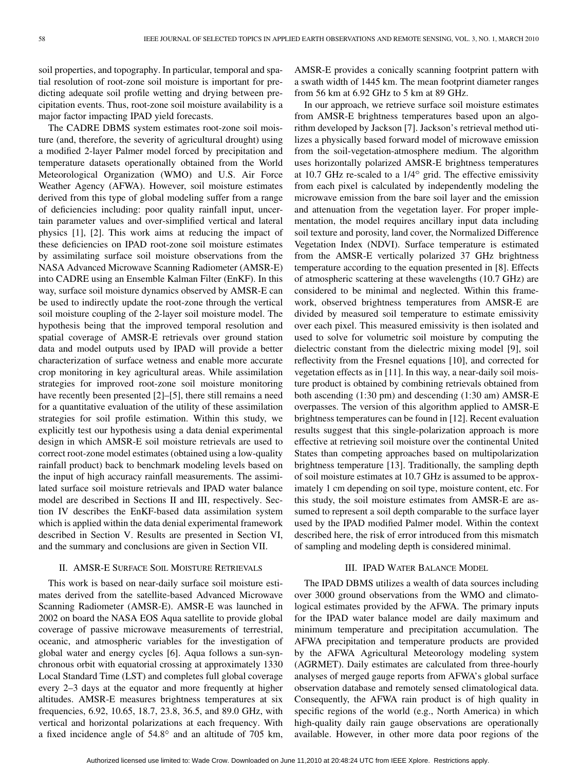soil properties, and topography. In particular, temporal and spatial resolution of root-zone soil moisture is important for predicting adequate soil profile wetting and drying between precipitation events. Thus, root-zone soil moisture availability is a major factor impacting IPAD yield forecasts.

The CADRE DBMS system estimates root-zone soil moisture (and, therefore, the severity of agricultural drought) using a modified 2-layer Palmer model forced by precipitation and temperature datasets operationally obtained from the World Meteorological Organization (WMO) and U.S. Air Force Weather Agency (AFWA). However, soil moisture estimates derived from this type of global modeling suffer from a range of deficiencies including: poor quality rainfall input, uncertain parameter values and over-simplified vertical and lateral physics [1], [2]. This work aims at reducing the impact of these deficiencies on IPAD root-zone soil moisture estimates by assimilating surface soil moisture observations from the NASA Advanced Microwave Scanning Radiometer (AMSR-E) into CADRE using an Ensemble Kalman Filter (EnKF). In this way, surface soil moisture dynamics observed by AMSR-E can be used to indirectly update the root-zone through the vertical soil moisture coupling of the 2-layer soil moisture model. The hypothesis being that the improved temporal resolution and spatial coverage of AMSR-E retrievals over ground station data and model outputs used by IPAD will provide a better characterization of surface wetness and enable more accurate crop monitoring in key agricultural areas. While assimilation strategies for improved root-zone soil moisture monitoring have recently been presented [2]–[5], there still remains a need for a quantitative evaluation of the utility of these assimilation strategies for soil profile estimation. Within this study, we explicitly test our hypothesis using a data denial experimental design in which AMSR-E soil moisture retrievals are used to correct root-zone model estimates (obtained using a low-quality rainfall product) back to benchmark modeling levels based on the input of high accuracy rainfall measurements. The assimilated surface soil moisture retrievals and IPAD water balance model are described in Sections II and III, respectively. Section IV describes the EnKF-based data assimilation system which is applied within the data denial experimental framework described in Section V. Results are presented in Section VI, and the summary and conclusions are given in Section VII.

# II. AMSR-E SURFACE SOIL MOISTURE RETRIEVALS

This work is based on near-daily surface soil moisture estimates derived from the satellite-based Advanced Microwave Scanning Radiometer (AMSR-E). AMSR-E was launched in 2002 on board the NASA EOS Aqua satellite to provide global coverage of passive microwave measurements of terrestrial, oceanic, and atmospheric variables for the investigation of global water and energy cycles [6]. Aqua follows a sun-synchronous orbit with equatorial crossing at approximately 1330 Local Standard Time (LST) and completes full global coverage every 2–3 days at the equator and more frequently at higher altitudes. AMSR-E measures brightness temperatures at six frequencies, 6.92, 10.65, 18.7, 23.8, 36.5, and 89.0 GHz, with vertical and horizontal polarizations at each frequency. With a fixed incidence angle of  $54.8^\circ$  and an altitude of 705 km,

AMSR-E provides a conically scanning footprint pattern with a swath width of 1445 km. The mean footprint diameter ranges from 56 km at 6.92 GHz to 5 km at 89 GHz.

In our approach, we retrieve surface soil moisture estimates from AMSR-E brightness temperatures based upon an algorithm developed by Jackson [7]. Jackson's retrieval method utilizes a physically based forward model of microwave emission from the soil-vegetation-atmosphere medium. The algorithm uses horizontally polarized AMSR-E brightness temperatures at 10.7 GHz re-scaled to a  $1/4^\circ$  grid. The effective emissivity from each pixel is calculated by independently modeling the microwave emission from the bare soil layer and the emission and attenuation from the vegetation layer. For proper implementation, the model requires ancillary input data including soil texture and porosity, land cover, the Normalized Difference Vegetation Index (NDVI). Surface temperature is estimated from the AMSR-E vertically polarized 37 GHz brightness temperature according to the equation presented in [8]. Effects of atmospheric scattering at these wavelengths (10.7 GHz) are considered to be minimal and neglected. Within this framework, observed brightness temperatures from AMSR-E are divided by measured soil temperature to estimate emissivity over each pixel. This measured emissivity is then isolated and used to solve for volumetric soil moisture by computing the dielectric constant from the dielectric mixing model [9], soil reflectivity from the Fresnel equations [10], and corrected for vegetation effects as in [11]. In this way, a near-daily soil moisture product is obtained by combining retrievals obtained from both ascending (1:30 pm) and descending (1:30 am) AMSR-E overpasses. The version of this algorithm applied to AMSR-E brightness temperatures can be found in [12]. Recent evaluation results suggest that this single-polarization approach is more effective at retrieving soil moisture over the continental United States than competing approaches based on multipolarization brightness temperature [13]. Traditionally, the sampling depth of soil moisture estimates at 10.7 GHz is assumed to be approximately 1 cm depending on soil type, moisture content, etc. For this study, the soil moisture estimates from AMSR-E are assumed to represent a soil depth comparable to the surface layer used by the IPAD modified Palmer model. Within the context described here, the risk of error introduced from this mismatch of sampling and modeling depth is considered minimal.

# III. IPAD WATER BALANCE MODEL

The IPAD DBMS utilizes a wealth of data sources including over 3000 ground observations from the WMO and climatological estimates provided by the AFWA. The primary inputs for the IPAD water balance model are daily maximum and minimum temperature and precipitation accumulation. The AFWA precipitation and temperature products are provided by the AFWA Agricultural Meteorology modeling system (AGRMET). Daily estimates are calculated from three-hourly analyses of merged gauge reports from AFWA's global surface observation database and remotely sensed climatological data. Consequently, the AFWA rain product is of high quality in specific regions of the world (e.g., North America) in which high-quality daily rain gauge observations are operationally available. However, in other more data poor regions of the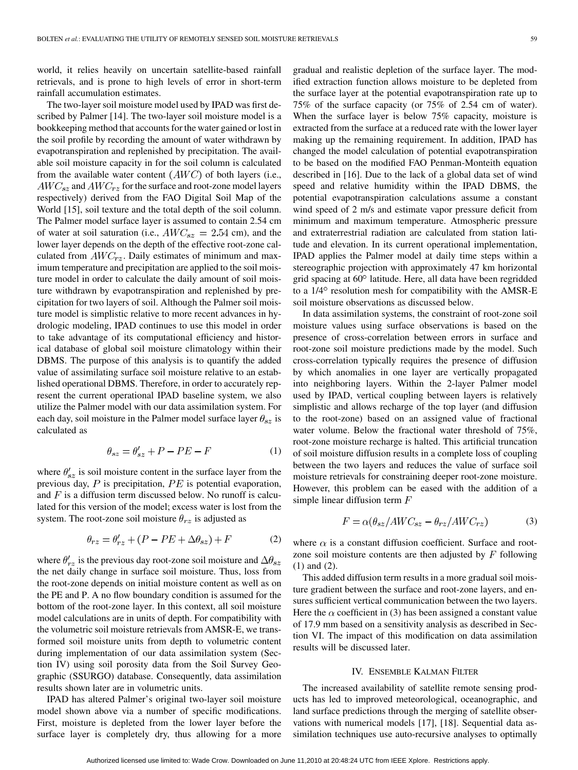world, it relies heavily on uncertain satellite-based rainfall retrievals, and is prone to high levels of error in short-term rainfall accumulation estimates.

The two-layer soil moisture model used by IPAD was first described by Palmer [14]. The two-layer soil moisture model is a bookkeeping method that accounts for the water gained or lost in the soil profile by recording the amount of water withdrawn by evapotranspiration and replenished by precipitation. The available soil moisture capacity in for the soil column is calculated from the available water content  $(AWC)$  of both layers (i.e.,  $AWC_{sz}$  and  $AWC_{rz}$  for the surface and root-zone model layers respectively) derived from the FAO Digital Soil Map of the World [15], soil texture and the total depth of the soil column. The Palmer model surface layer is assumed to contain 2.54 cm of water at soil saturation (i.e.,  $AWC_{sz} = 2.54$  cm), and the lower layer depends on the depth of the effective root-zone calculated from  $AWC_{rz}$ . Daily estimates of minimum and maximum temperature and precipitation are applied to the soil moisture model in order to calculate the daily amount of soil moisture withdrawn by evapotranspiration and replenished by precipitation for two layers of soil. Although the Palmer soil moisture model is simplistic relative to more recent advances in hydrologic modeling, IPAD continues to use this model in order to take advantage of its computational efficiency and historical database of global soil moisture climatology within their DBMS. The purpose of this analysis is to quantify the added value of assimilating surface soil moisture relative to an established operational DBMS. Therefore, in order to accurately represent the current operational IPAD baseline system, we also utilize the Palmer model with our data assimilation system. For each day, soil moisture in the Palmer model surface layer  $\theta_{sz}$  is calculated as

$$
\theta_{sz} = \theta'_{sz} + P - PE - F \tag{1}
$$

where  $\theta'_{sz}$  is soil moisture content in the surface layer from the previous day,  $P$  is precipitation,  $PE$  is potential evaporation, and  $\overline{F}$  is a diffusion term discussed below. No runoff is calculated for this version of the model; excess water is lost from the system. The root-zone soil moisture  $\theta_{rz}$  is adjusted as

$$
\theta_{rz} = \theta'_{rz} + (P - PE + \Delta\theta_{sz}) + F \tag{2}
$$

where  $\theta'_{rz}$  is the previous day root-zone soil moisture and  $\Delta\theta_{sz}$ the net daily change in surface soil moisture. Thus, loss from the root-zone depends on initial moisture content as well as on the PE and P. A no flow boundary condition is assumed for the bottom of the root-zone layer. In this context, all soil moisture model calculations are in units of depth. For compatibility with the volumetric soil moisture retrievals from AMSR-E, we transformed soil moisture units from depth to volumetric content during implementation of our data assimilation system (Section IV) using soil porosity data from the Soil Survey Geographic (SSURGO) database. Consequently, data assimilation results shown later are in volumetric units.

IPAD has altered Palmer's original two-layer soil moisture model shown above via a number of specific modifications. First, moisture is depleted from the lower layer before the surface layer is completely dry, thus allowing for a more

gradual and realistic depletion of the surface layer. The modified extraction function allows moisture to be depleted from the surface layer at the potential evapotranspiration rate up to 75% of the surface capacity (or 75% of 2.54 cm of water). When the surface layer is below 75% capacity, moisture is extracted from the surface at a reduced rate with the lower layer making up the remaining requirement. In addition, IPAD has changed the model calculation of potential evapotranspiration to be based on the modified FAO Penman-Monteith equation described in [16]. Due to the lack of a global data set of wind speed and relative humidity within the IPAD DBMS, the potential evapotranspiration calculations assume a constant wind speed of 2 m/s and estimate vapor pressure deficit from minimum and maximum temperature. Atmospheric pressure and extraterrestrial radiation are calculated from station latitude and elevation. In its current operational implementation, IPAD applies the Palmer model at daily time steps within a stereographic projection with approximately 47 km horizontal grid spacing at  $60^\circ$  latitude. Here, all data have been regridded to a  $1/4^\circ$  resolution mesh for compatibility with the AMSR-E soil moisture observations as discussed below.

In data assimilation systems, the constraint of root-zone soil moisture values using surface observations is based on the presence of cross-correlation between errors in surface and root-zone soil moisture predictions made by the model. Such cross-correlation typically requires the presence of diffusion by which anomalies in one layer are vertically propagated into neighboring layers. Within the 2-layer Palmer model used by IPAD, vertical coupling between layers is relatively simplistic and allows recharge of the top layer (and diffusion to the root-zone) based on an assigned value of fractional water volume. Below the fractional water threshold of 75%, root-zone moisture recharge is halted. This artificial truncation of soil moisture diffusion results in a complete loss of coupling between the two layers and reduces the value of surface soil moisture retrievals for constraining deeper root-zone moisture. However, this problem can be eased with the addition of a simple linear diffusion term  $F$ 

$$
F = \alpha(\theta_{sz}/AWC_{sz} - \theta_{rz}/AWC_{rz})
$$
 (3)

where  $\alpha$  is a constant diffusion coefficient. Surface and rootzone soil moisture contents are then adjusted by  $F$  following (1) and (2).

This added diffusion term results in a more gradual soil moisture gradient between the surface and root-zone layers, and ensures sufficient vertical communication between the two layers. Here the  $\alpha$  coefficient in (3) has been assigned a constant value of 17.9 mm based on a sensitivity analysis as described in Section VI. The impact of this modification on data assimilation results will be discussed later.

#### IV. ENSEMBLE KALMAN FILTER

The increased availability of satellite remote sensing products has led to improved meteorological, oceanographic, and land surface predictions through the merging of satellite observations with numerical models [17], [18]. Sequential data assimilation techniques use auto-recursive analyses to optimally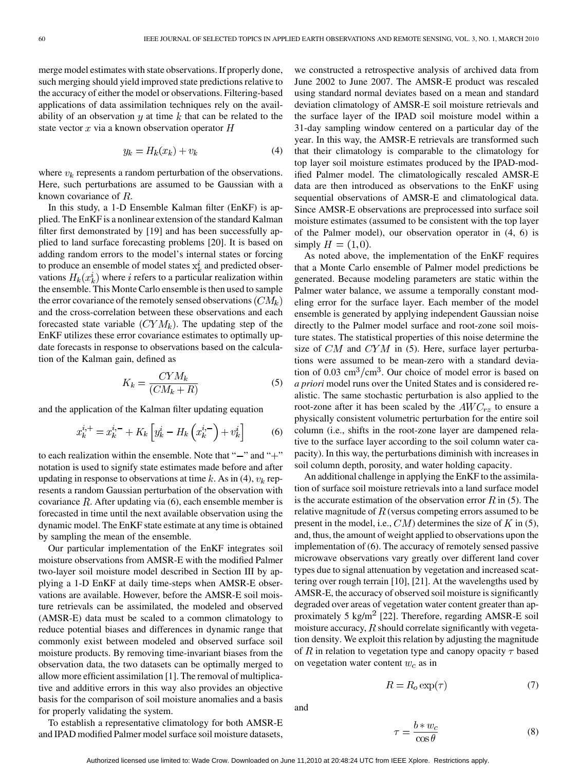merge model estimates with state observations. If properly done, such merging should yield improved state predictions relative to the accuracy of either the model or observations. Filtering-based applications of data assimilation techniques rely on the availability of an observation  $y$  at time  $k$  that can be related to the state vector  $x$  via a known observation operator  $H$ 

$$
y_k = H_k(x_k) + v_k \tag{4}
$$

where  $v_k$  represents a random perturbation of the observations. Here, such perturbations are assumed to be Gaussian with a known covariance of *.* 

In this study, a 1-D Ensemble Kalman filter (EnKF) is applied. The EnKF is a nonlinear extension of the standard Kalman filter first demonstrated by [19] and has been successfully applied to land surface forecasting problems [20]. It is based on adding random errors to the model's internal states or forcing to produce an ensemble of model states  $x_k^i$  and predicted observations  $H_k(x_k^i)$  where i refers to a particular realization within the ensemble. This Monte Carlo ensemble is then used to sample the error covariance of the remotely sensed observations  $(CM_k)$ and the cross-correlation between these observations and each forecasted state variable  $(CYM_k)$ . The updating step of the EnKF utilizes these error covariance estimates to optimally update forecasts in response to observations based on the calculation of the Kalman gain, defined as

$$
K_k = \frac{CYM_k}{(CM_k + R)}\tag{5}
$$

and the application of the Kalman filter updating equation

$$
x_k^{i,+} = x_k^{i,-} + K_k \left[ y_k^i - H_k \left( x_k^{i,-} \right) + v_k^i \right] \tag{6}
$$

to each realization within the ensemble. Note that " $-$ " and " $+$ " notation is used to signify state estimates made before and after updating in response to observations at time k. As in (4),  $v_k$  represents a random Gaussian perturbation of the observation with covariance  $R$ . After updating via  $(6)$ , each ensemble member is forecasted in time until the next available observation using the dynamic model. The EnKF state estimate at any time is obtained by sampling the mean of the ensemble.

Our particular implementation of the EnKF integrates soil moisture observations from AMSR-E with the modified Palmer two-layer soil moisture model described in Section III by applying a 1-D EnKF at daily time-steps when AMSR-E observations are available. However, before the AMSR-E soil moisture retrievals can be assimilated, the modeled and observed (AMSR-E) data must be scaled to a common climatology to reduce potential biases and differences in dynamic range that commonly exist between modeled and observed surface soil moisture products. By removing time-invariant biases from the observation data, the two datasets can be optimally merged to allow more efficient assimilation [1]. The removal of multiplicative and additive errors in this way also provides an objective basis for the comparison of soil moisture anomalies and a basis for properly validating the system.

To establish a representative climatology for both AMSR-E and IPAD modified Palmer model surface soil moisture datasets,

we constructed a retrospective analysis of archived data from June 2002 to June 2007. The AMSR-E product was rescaled using standard normal deviates based on a mean and standard deviation climatology of AMSR-E soil moisture retrievals and the surface layer of the IPAD soil moisture model within a 31-day sampling window centered on a particular day of the year. In this way, the AMSR-E retrievals are transformed such that their climatology is comparable to the climatology for top layer soil moisture estimates produced by the IPAD-modified Palmer model. The climatologically rescaled AMSR-E data are then introduced as observations to the EnKF using sequential observations of AMSR-E and climatological data. Since AMSR-E observations are preprocessed into surface soil moisture estimates (assumed to be consistent with the top layer of the Palmer model), our observation operator in (4, 6) is simply  $H = (1,0)$ .

As noted above, the implementation of the EnKF requires that a Monte Carlo ensemble of Palmer model predictions be generated. Because modeling parameters are static within the Palmer water balance, we assume a temporally constant modeling error for the surface layer. Each member of the model ensemble is generated by applying independent Gaussian noise directly to the Palmer model surface and root-zone soil moisture states. The statistical properties of this noise determine the size of  $CM$  and  $CYM$  in (5). Here, surface layer perturbations were assumed to be mean-zero with a standard deviation of 0.03 cm<sup>3</sup>/cm<sup>3</sup>. Our choice of model error is based on *a priori* model runs over the United States and is considered realistic. The same stochastic perturbation is also applied to the root-zone after it has been scaled by the  $AWC_{rz}$  to ensure a physically consistent volumetric perturbation for the entire soil column (i.e., shifts in the root-zone layer are dampened relative to the surface layer according to the soil column water capacity). In this way, the perturbations diminish with increases in soil column depth, porosity, and water holding capacity.

An additional challenge in applying the EnKF to the assimilation of surface soil moisture retrievals into a land surface model is the accurate estimation of the observation error  $R$  in (5). The relative magnitude of  $R$  (versus competing errors assumed to be present in the model, i.e.,  $CM$ ) determines the size of K in (5), and, thus, the amount of weight applied to observations upon the implementation of (6). The accuracy of remotely sensed passive microwave observations vary greatly over different land cover types due to signal attenuation by vegetation and increased scattering over rough terrain [10], [21]. At the wavelengths used by AMSR-E, the accuracy of observed soil moisture is significantly degraded over areas of vegetation water content greater than approximately 5 kg/m<sup>2</sup> [22]. Therefore, regarding AMSR-E soil moisture accuracy,  $R$  should correlate significantly with vegetation density. We exploit this relation by adjusting the magnitude of R in relation to vegetation type and canopy opacity  $\tau$  based on vegetation water content  $w_c$  as in

$$
R = R_o \exp(\tau) \tag{7}
$$

and

$$
\tau = \frac{b \ast w_c}{\cos \theta} \tag{8}
$$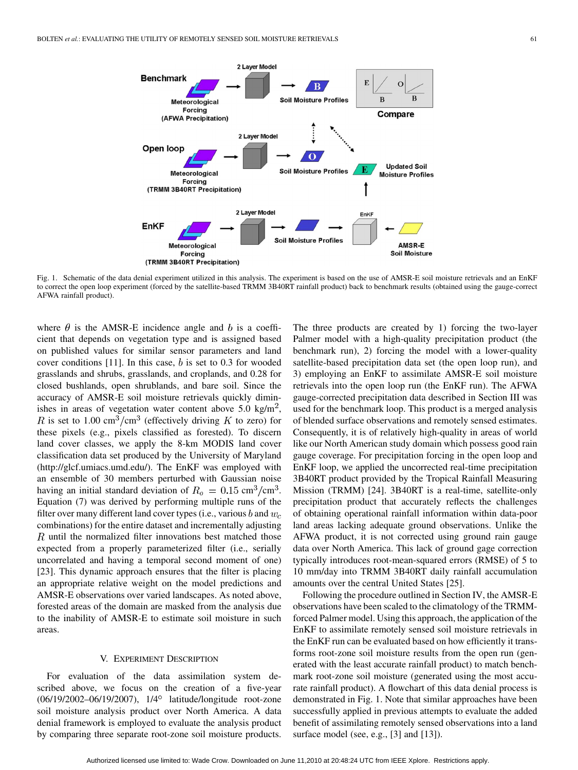

Fig. 1. Schematic of the data denial experiment utilized in this analysis. The experiment is based on the use of AMSR-E soil moisture retrievals and an EnKF to correct the open loop experiment (forced by the satellite-based TRMM 3B40RT rainfall product) back to benchmark results (obtained using the gauge-correct AFWA rainfall product).

where  $\theta$  is the AMSR-E incidence angle and b is a coefficient that depends on vegetation type and is assigned based on published values for similar sensor parameters and land cover conditions [11]. In this case,  $b$  is set to 0.3 for wooded grasslands and shrubs, grasslands, and croplands, and 0.28 for closed bushlands, open shrublands, and bare soil. Since the accuracy of AMSR-E soil moisture retrievals quickly diminishes in areas of vegetation water content above 5.0 kg/m<sup>2</sup>, R is set to 1.00 cm<sup>3</sup>/cm<sup>3</sup> (effectively driving K to zero) for these pixels (e.g., pixels classified as forested). To discern land cover classes, we apply the 8-km MODIS land cover classification data set produced by the University of Maryland (http://glcf.umiacs.umd.edu/). The EnKF was employed with an ensemble of 30 members perturbed with Gaussian noise having an initial standard deviation of  $R_o = 0.15 \text{ cm}^3/\text{cm}^3$ . Equation (7) was derived by performing multiple runs of the filter over many different land cover types (i.e., various  $b$  and  $w_c$ combinations) for the entire dataset and incrementally adjusting  $R$  until the normalized filter innovations best matched those expected from a properly parameterized filter (i.e., serially uncorrelated and having a temporal second moment of one) [23]. This dynamic approach ensures that the filter is placing an appropriate relative weight on the model predictions and AMSR-E observations over varied landscapes. As noted above, forested areas of the domain are masked from the analysis due to the inability of AMSR-E to estimate soil moisture in such areas.

#### V. EXPERIMENT DESCRIPTION

For evaluation of the data assimilation system described above, we focus on the creation of a five-year (06/19/2002-06/19/2007), 1/4° latitude/longitude root-zone soil moisture analysis product over North America. A data denial framework is employed to evaluate the analysis product by comparing three separate root-zone soil moisture products.

The three products are created by 1) forcing the two-layer Palmer model with a high-quality precipitation product (the benchmark run), 2) forcing the model with a lower-quality satellite-based precipitation data set (the open loop run), and 3) employing an EnKF to assimilate AMSR-E soil moisture retrievals into the open loop run (the EnKF run). The AFWA gauge-corrected precipitation data described in Section III was used for the benchmark loop. This product is a merged analysis of blended surface observations and remotely sensed estimates. Consequently, it is of relatively high-quality in areas of world like our North American study domain which possess good rain gauge coverage. For precipitation forcing in the open loop and EnKF loop, we applied the uncorrected real-time precipitation 3B40RT product provided by the Tropical Rainfall Measuring Mission (TRMM) [24]. 3B40RT is a real-time, satellite-only precipitation product that accurately reflects the challenges of obtaining operational rainfall information within data-poor land areas lacking adequate ground observations. Unlike the AFWA product, it is not corrected using ground rain gauge data over North America. This lack of ground gage correction typically introduces root-mean-squared errors (RMSE) of 5 to 10 mm/day into TRMM 3B40RT daily rainfall accumulation amounts over the central United States [25].

Following the procedure outlined in Section IV, the AMSR-E observations have been scaled to the climatology of the TRMMforced Palmer model. Using this approach, the application of the EnKF to assimilate remotely sensed soil moisture retrievals in the EnKF run can be evaluated based on how efficiently it transforms root-zone soil moisture results from the open run (generated with the least accurate rainfall product) to match benchmark root-zone soil moisture (generated using the most accurate rainfall product). A flowchart of this data denial process is demonstrated in Fig. 1. Note that similar approaches have been successfully applied in previous attempts to evaluate the added benefit of assimilating remotely sensed observations into a land surface model (see, e.g., [3] and [13]).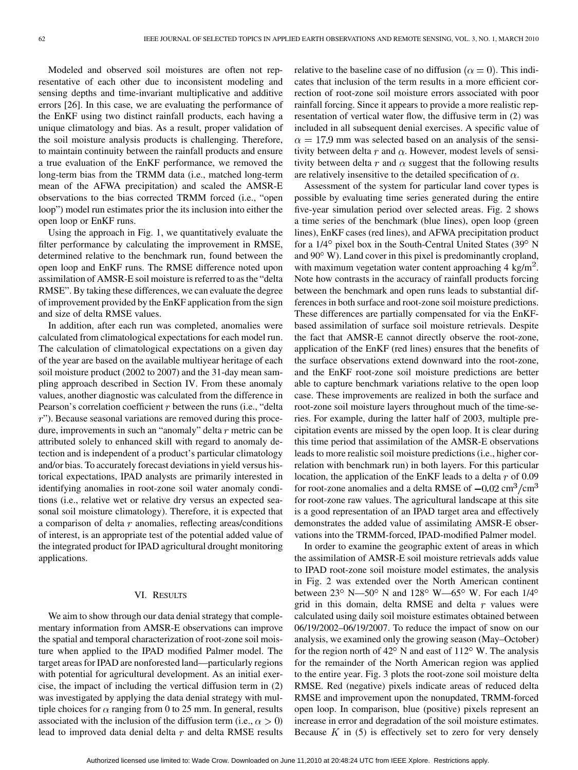Modeled and observed soil moistures are often not representative of each other due to inconsistent modeling and sensing depths and time-invariant multiplicative and additive errors [26]. In this case, we are evaluating the performance of the EnKF using two distinct rainfall products, each having a unique climatology and bias. As a result, proper validation of the soil moisture analysis products is challenging. Therefore, to maintain continuity between the rainfall products and ensure a true evaluation of the EnKF performance, we removed the long-term bias from the TRMM data (i.e., matched long-term mean of the AFWA precipitation) and scaled the AMSR-E observations to the bias corrected TRMM forced (i.e., "open loop") model run estimates prior the its inclusion into either the open loop or EnKF runs.

Using the approach in Fig. 1, we quantitatively evaluate the filter performance by calculating the improvement in RMSE, determined relative to the benchmark run, found between the open loop and EnKF runs. The RMSE difference noted upon assimilation of AMSR-E soil moisture is referred to as the "delta RMSE". By taking these differences, we can evaluate the degree of improvement provided by the EnKF application from the sign and size of delta RMSE values.

In addition, after each run was completed, anomalies were calculated from climatological expectations for each model run. The calculation of climatological expectations on a given day of the year are based on the available multiyear heritage of each soil moisture product (2002 to 2007) and the 31-day mean sampling approach described in Section IV. From these anomaly values, another diagnostic was calculated from the difference in Pearson's correlation coefficient  $r$  between the runs (i.e., "delta  $r$ "). Because seasonal variations are removed during this procedure, improvements in such an "anomaly" delta  $r$  metric can be attributed solely to enhanced skill with regard to anomaly detection and is independent of a product's particular climatology and/or bias. To accurately forecast deviations in yield versus historical expectations, IPAD analysts are primarily interested in identifying anomalies in root-zone soil water anomaly conditions (i.e., relative wet or relative dry versus an expected seasonal soil moisture climatology). Therefore, it is expected that a comparison of delta  $r$  anomalies, reflecting areas/conditions of interest, is an appropriate test of the potential added value of the integrated product for IPAD agricultural drought monitoring applications.

## VI. RESULTS

We aim to show through our data denial strategy that complementary information from AMSR-E observations can improve the spatial and temporal characterization of root-zone soil moisture when applied to the IPAD modified Palmer model. The target areas for IPAD are nonforested land—particularly regions with potential for agricultural development. As an initial exercise, the impact of including the vertical diffusion term in (2) was investigated by applying the data denial strategy with multiple choices for  $\alpha$  ranging from 0 to 25 mm. In general, results associated with the inclusion of the diffusion term (i.e.,  $\alpha > 0$ ) lead to improved data denial delta  $r$  and delta RMSE results

relative to the baseline case of no diffusion ( $\alpha = 0$ ). This indicates that inclusion of the term results in a more efficient correction of root-zone soil moisture errors associated with poor rainfall forcing. Since it appears to provide a more realistic representation of vertical water flow, the diffusive term in (2) was included in all subsequent denial exercises. A specific value of  $\alpha = 17.9$  mm was selected based on an analysis of the sensitivity between delta  $r$  and  $\alpha$ . However, modest levels of sensitivity between delta r and  $\alpha$  suggest that the following results are relatively insensitive to the detailed specification of  $\alpha$ .

Assessment of the system for particular land cover types is possible by evaluating time series generated during the entire five-year simulation period over selected areas. Fig. 2 shows a time series of the benchmark (blue lines), open loop (green lines), EnKF cases (red lines), and AFWA precipitation product for a  $1/4^{\circ}$  pixel box in the South-Central United States (39 $^{\circ}$  N and  $90^{\circ}$  W). Land cover in this pixel is predominantly cropland, with maximum vegetation water content approaching  $4 \text{ kg/m}^2$ . Note how contrasts in the accuracy of rainfall products forcing between the benchmark and open runs leads to substantial differences in both surface and root-zone soil moisture predictions. These differences are partially compensated for via the EnKFbased assimilation of surface soil moisture retrievals. Despite the fact that AMSR-E cannot directly observe the root-zone, application of the EnKF (red lines) ensures that the benefits of the surface observations extend downward into the root-zone, and the EnKF root-zone soil moisture predictions are better able to capture benchmark variations relative to the open loop case. These improvements are realized in both the surface and root-zone soil moisture layers throughout much of the time-series. For example, during the latter half of 2003, multiple precipitation events are missed by the open loop. It is clear during this time period that assimilation of the AMSR-E observations leads to more realistic soil moisture predictions (i.e., higher correlation with benchmark run) in both layers. For this particular location, the application of the EnKF leads to a delta  $r$  of 0.09 for root-zone anomalies and a delta RMSE of  $-0.02 \text{ cm}^3/\text{cm}^3$ for root-zone raw values. The agricultural landscape at this site is a good representation of an IPAD target area and effectively demonstrates the added value of assimilating AMSR-E observations into the TRMM-forced, IPAD-modified Palmer model.

In order to examine the geographic extent of areas in which the assimilation of AMSR-E soil moisture retrievals adds value to IPAD root-zone soil moisture model estimates, the analysis in Fig. 2 was extended over the North American continent between 23° N—50° N and 128° W—65° W. For each  $1/4$ ° grid in this domain, delta RMSE and delta  $r$  values were calculated using daily soil moisture estimates obtained between 06/19/2002–06/19/2007. To reduce the impact of snow on our analysis, we examined only the growing season (May–October) for the region north of 42 $\degree$  N and east of 112 $\degree$  W. The analysis for the remainder of the North American region was applied to the entire year. Fig. 3 plots the root-zone soil moisture delta RMSE. Red (negative) pixels indicate areas of reduced delta RMSE and improvement upon the nonupdated, TRMM-forced open loop. In comparison, blue (positive) pixels represent an increase in error and degradation of the soil moisture estimates. Because  $K$  in (5) is effectively set to zero for very densely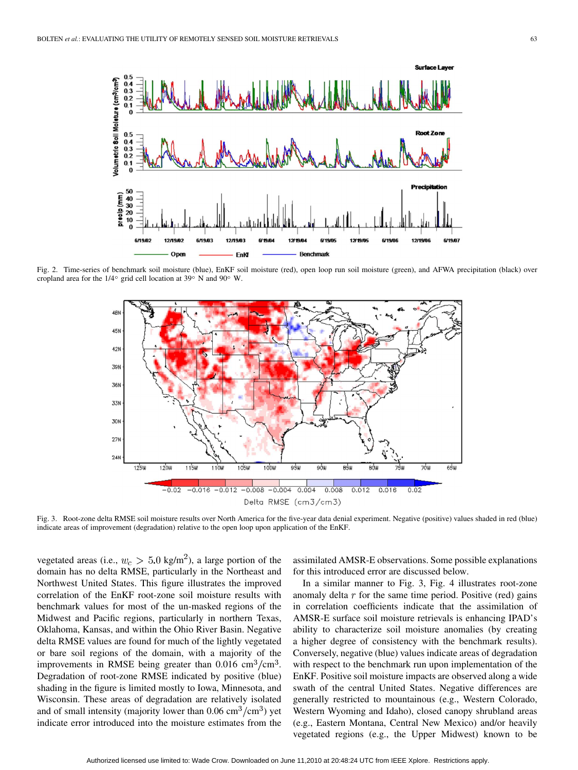

Fig. 2. Time-series of benchmark soil moisture (blue), EnKF soil moisture (red), open loop run soil moisture (green), and AFWA precipitation (black) over cropland area for the  $1/4^{\circ}$  grid cell location at 39° N and 90° W.



Fig. 3. Root-zone delta RMSE soil moisture results over North America for the five-year data denial experiment. Negative (positive) values shaded in red (blue) indicate areas of improvement (degradation) relative to the open loop upon application of the EnKF.

vegetated areas (i.e.,  $w_c > 5.0 \text{ kg/m}^2$ ), a large portion of the domain has no delta RMSE, particularly in the Northeast and Northwest United States. This figure illustrates the improved correlation of the EnKF root-zone soil moisture results with benchmark values for most of the un-masked regions of the Midwest and Pacific regions, particularly in northern Texas, Oklahoma, Kansas, and within the Ohio River Basin. Negative delta RMSE values are found for much of the lightly vegetated or bare soil regions of the domain, with a majority of the improvements in RMSE being greater than  $0.016 \text{ cm}^3/\text{cm}^3$ . Degradation of root-zone RMSE indicated by positive (blue) shading in the figure is limited mostly to Iowa, Minnesota, and Wisconsin. These areas of degradation are relatively isolated and of small intensity (majority lower than  $0.06 \text{ cm}^3/\text{cm}^3$ ) yet indicate error introduced into the moisture estimates from the

assimilated AMSR-E observations. Some possible explanations for this introduced error are discussed below.

In a similar manner to Fig. 3, Fig. 4 illustrates root-zone anomaly delta  $r$  for the same time period. Positive (red) gains in correlation coefficients indicate that the assimilation of AMSR-E surface soil moisture retrievals is enhancing IPAD's ability to characterize soil moisture anomalies (by creating a higher degree of consistency with the benchmark results). Conversely, negative (blue) values indicate areas of degradation with respect to the benchmark run upon implementation of the EnKF. Positive soil moisture impacts are observed along a wide swath of the central United States. Negative differences are generally restricted to mountainous (e.g., Western Colorado, Western Wyoming and Idaho), closed canopy shrubland areas (e.g., Eastern Montana, Central New Mexico) and/or heavily vegetated regions (e.g., the Upper Midwest) known to be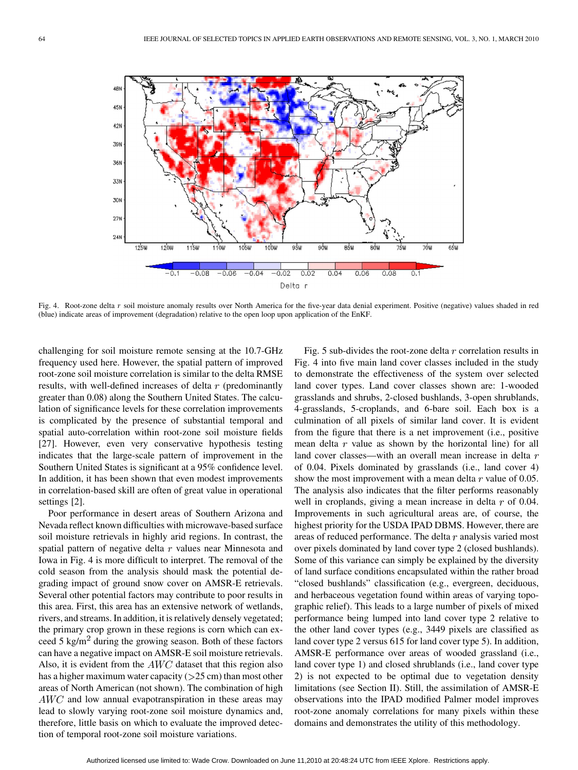

Fig. 4. Root-zone delta r soil moisture anomaly results over North America for the five-year data denial experiment. Positive (negative) values shaded in red (blue) indicate areas of improvement (degradation) relative to the open loop upon application of the EnKF.

challenging for soil moisture remote sensing at the 10.7-GHz frequency used here. However, the spatial pattern of improved root-zone soil moisture correlation is similar to the delta RMSE results, with well-defined increases of delta  $r$  (predominantly greater than 0.08) along the Southern United States. The calculation of significance levels for these correlation improvements is complicated by the presence of substantial temporal and spatial auto-correlation within root-zone soil moisture fields [27]. However, even very conservative hypothesis testing indicates that the large-scale pattern of improvement in the Southern United States is significant at a 95% confidence level. In addition, it has been shown that even modest improvements in correlation-based skill are often of great value in operational settings [2].

Poor performance in desert areas of Southern Arizona and Nevada reflect known difficulties with microwave-based surface soil moisture retrievals in highly arid regions. In contrast, the spatial pattern of negative delta  $r$  values near Minnesota and Iowa in Fig. 4 is more difficult to interpret. The removal of the cold season from the analysis should mask the potential degrading impact of ground snow cover on AMSR-E retrievals. Several other potential factors may contribute to poor results in this area. First, this area has an extensive network of wetlands, rivers, and streams. In addition, it is relatively densely vegetated; the primary crop grown in these regions is corn which can exceed 5 kg/m<sup>2</sup> during the growing season. Both of these factors can have a negative impact on AMSR-E soil moisture retrievals. Also, it is evident from the  $AWC$  dataset that this region also has a higher maximum water capacity  $(>25 \text{ cm})$  than most other areas of North American (not shown). The combination of high  $AWC$  and low annual evapotranspiration in these areas may lead to slowly varying root-zone soil moisture dynamics and, therefore, little basis on which to evaluate the improved detection of temporal root-zone soil moisture variations.

Fig. 5 sub-divides the root-zone delta  $r$  correlation results in Fig. 4 into five main land cover classes included in the study to demonstrate the effectiveness of the system over selected land cover types. Land cover classes shown are: 1-wooded grasslands and shrubs, 2-closed bushlands, 3-open shrublands, 4-grasslands, 5-croplands, and 6-bare soil. Each box is a culmination of all pixels of similar land cover. It is evident from the figure that there is a net improvement (i.e., positive mean delta  $r$  value as shown by the horizontal line) for all land cover classes—with an overall mean increase in delta r of 0.04. Pixels dominated by grasslands (i.e., land cover 4) show the most improvement with a mean delta  $r$  value of 0.05. The analysis also indicates that the filter performs reasonably well in croplands, giving a mean increase in delta  $r$  of 0.04. Improvements in such agricultural areas are, of course, the highest priority for the USDA IPAD DBMS. However, there are areas of reduced performance. The delta  $r$  analysis varied most over pixels dominated by land cover type 2 (closed bushlands). Some of this variance can simply be explained by the diversity of land surface conditions encapsulated within the rather broad "closed bushlands" classification (e.g., evergreen, deciduous, and herbaceous vegetation found within areas of varying topographic relief). This leads to a large number of pixels of mixed performance being lumped into land cover type 2 relative to the other land cover types (e.g., 3449 pixels are classified as land cover type 2 versus 615 for land cover type 5). In addition, AMSR-E performance over areas of wooded grassland (i.e., land cover type 1) and closed shrublands (i.e., land cover type 2) is not expected to be optimal due to vegetation density limitations (see Section II). Still, the assimilation of AMSR-E observations into the IPAD modified Palmer model improves root-zone anomaly correlations for many pixels within these domains and demonstrates the utility of this methodology.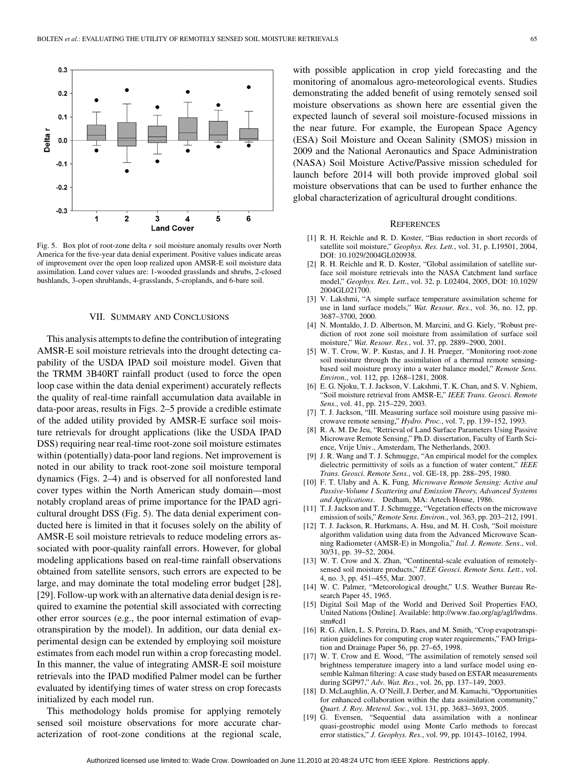

Fig. 5. Box plot of root-zone delta  $r$  soil moisture anomaly results over North America for the five-year data denial experiment. Positive values indicate areas of improvement over the open loop realized upon AMSR-E soil moisture data assimilation. Land cover values are: 1-wooded grasslands and shrubs, 2-closed bushlands, 3-open shrublands, 4-grasslands, 5-croplands, and 6-bare soil.

## VII. SUMMARY AND CONCLUSIONS

This analysis attempts to define the contribution of integrating AMSR-E soil moisture retrievals into the drought detecting capability of the USDA IPAD soil moisture model. Given that the TRMM 3B40RT rainfall product (used to force the open loop case within the data denial experiment) accurately reflects the quality of real-time rainfall accumulation data available in data-poor areas, results in Figs. 2–5 provide a credible estimate of the added utility provided by AMSR-E surface soil moisture retrievals for drought applications (like the USDA IPAD DSS) requiring near real-time root-zone soil moisture estimates within (potentially) data-poor land regions. Net improvement is noted in our ability to track root-zone soil moisture temporal dynamics (Figs. 2–4) and is observed for all nonforested land cover types within the North American study domain—most notably cropland areas of prime importance for the IPAD agricultural drought DSS (Fig. 5). The data denial experiment conducted here is limited in that it focuses solely on the ability of AMSR-E soil moisture retrievals to reduce modeling errors associated with poor-quality rainfall errors. However, for global modeling applications based on real-time rainfall observations obtained from satellite sensors, such errors are expected to be large, and may dominate the total modeling error budget [28], [29]. Follow-up work with an alternative data denial design is required to examine the potential skill associated with correcting other error sources (e.g., the poor internal estimation of evapotranspiration by the model). In addition, our data denial experimental design can be extended by employing soil moisture estimates from each model run within a crop forecasting model. In this manner, the value of integrating AMSR-E soil moisture retrievals into the IPAD modified Palmer model can be further evaluated by identifying times of water stress on crop forecasts initialized by each model run.

This methodology holds promise for applying remotely sensed soil moisture observations for more accurate characterization of root-zone conditions at the regional scale,

with possible application in crop yield forecasting and the monitoring of anomalous agro-meteorological events. Studies demonstrating the added benefit of using remotely sensed soil moisture observations as shown here are essential given the expected launch of several soil moisture-focused missions in the near future. For example, the European Space Agency (ESA) Soil Moisture and Ocean Salinity (SMOS) mission in 2009 and the National Aeronautics and Space Administration (NASA) Soil Moisture Active/Passive mission scheduled for launch before 2014 will both provide improved global soil moisture observations that can be used to further enhance the global characterization of agricultural drought conditions.

## **REFERENCES**

- [1] R. H. Reichle and R. D. Koster, "Bias reduction in short records of satellite soil moisture," *Geophys. Res. Lett.*, vol. 31, p. L19501, 2004, DOI: 10.1029/2004GL020938.
- [2] R. H. Reichle and R. D. Koster, "Global assimilation of satellite surface soil moisture retrievals into the NASA Catchment land surface model," *Geophys. Res. Lett.*, vol. 32, p. L02404, 2005, DOI: 10.1029/ 2004GL021700.
- [3] V. Lakshmi, "A simple surface temperature assimilation scheme for use in land surface models," *Wat. Resour. Res.*, vol. 36, no. 12, pp. 3687–3700, 2000.
- [4] N. Montaldo, J. D. Albertson, M. Marcini, and G. Kiely, "Robust prediction of root zone soil moisture from assimilation of surface soil moisture," *Wat. Resour. Res.*, vol. 37, pp. 2889–2900, 2001.
- [5] W. T. Crow, W. P. Kustas, and J. H. Prueger, "Monitoring root-zone soil moisture through the assimilation of a thermal remote sensingbased soil moisture proxy into a water balance model," *Remote Sens. Environ.*, vol. 112, pp. 1268–1281, 2008.
- [6] E. G. Njoku, T. J. Jackson, V. Lakshmi, T. K. Chan, and S. V. Nghiem, "Soil moisture retrieval from AMSR-E," *IEEE Trans. Geosci. Remote Sens.*, vol. 41, pp. 215–229, 2003.
- [7] T. J. Jackson, "III. Measuring surface soil moisture using passive microwave remote sensing," *Hydro. Proc.*, vol. 7, pp. 139–152, 1993.
- [8] R. A. M. De Jeu, "Retrieval of Land Surface Parameters Using Passive Microwave Remote Sensing," Ph.D. dissertation, Faculty of Earth Science, Vrije Univ., Amsterdam, The Netherlands, 2003.
- [9] J. R. Wang and T. J. Schmugge, "An empirical model for the complex dielectric permittivity of soils as a function of water content," *IEEE Trans. Geosci. Remote Sens.*, vol. GE-18, pp. 288–295, 1980.
- [10] F. T. Ulaby and A. K. Fung*, Microwave Remote Sensing: Active and Passive-Volume I Scattering and Emission Theory, Advanced Systems and Applications*. Dedham, MA: Artech House, 1986.
- [11] T. J. Jackson and T. J. Schmugge, "Vegetation effects on the microwave emission of soils," *Remote Sens. Environ.*, vol. 363, pp. 203–212, 1991.
- [12] T. J. Jackson, R. Hurkmans, A. Hsu, and M. H. Cosh, "Soil moisture algorithm validation using data from the Advanced Microwave Scanning Radiometer (AMSR-E) in Mongolia," *Ital. J. Remote. Sens.*, vol. 30/31, pp. 39–52, 2004.
- [13] W. T. Crow and X. Zhan, "Continental-scale evaluation of remotelysensed soil moisture products," *IEEE Geosci. Remote Sens. Lett.*, vol. 4, no. 3, pp. 451–455, Mar. 2007.
- [14] W. C. Palmer, "Meteorological drought," U.S. Weather Bureau Research Paper 45, 1965.
- [15] Digital Soil Map of the World and Derived Soil Properties FAO, United Nations [Online]. Available: http://www.fao.org/ag/agl/lwdms. stm#cd1
- [16] R. G. Allen, L. S. Pereira, D. Raes, and M. Smith, "Crop evapotranspiration guidelines for computing crop water requirements," FAO Irrigation and Drainage Paper 56, pp. 27–65, 1998.
- [17] W. T. Crow and E. Wood, "The assimilation of remotely sensed soil brightness temperature imagery into a land surface model using ensemble Kalman filtering: A case study based on ESTAR measurements during SGP97," *Adv. Wat. Res.*, vol. 26, pp. 137–149, 2003.
- [18] D. McLaughlin, A. O'Neill, J. Derber, and M. Kamachi, "Opportunities for enhanced collaboration within the data assimilation community," *Quart. J. Roy. Meterol. Soc.*, vol. 131, pp. 3683–3693, 2005.
- [19] G. Evensen, "Sequential data assimilation with a nonlinear quasi-geostrophic model using Monte Carlo methods to forecast error statistics," *J. Geophys. Res.*, vol. 99, pp. 10143–10162, 1994.